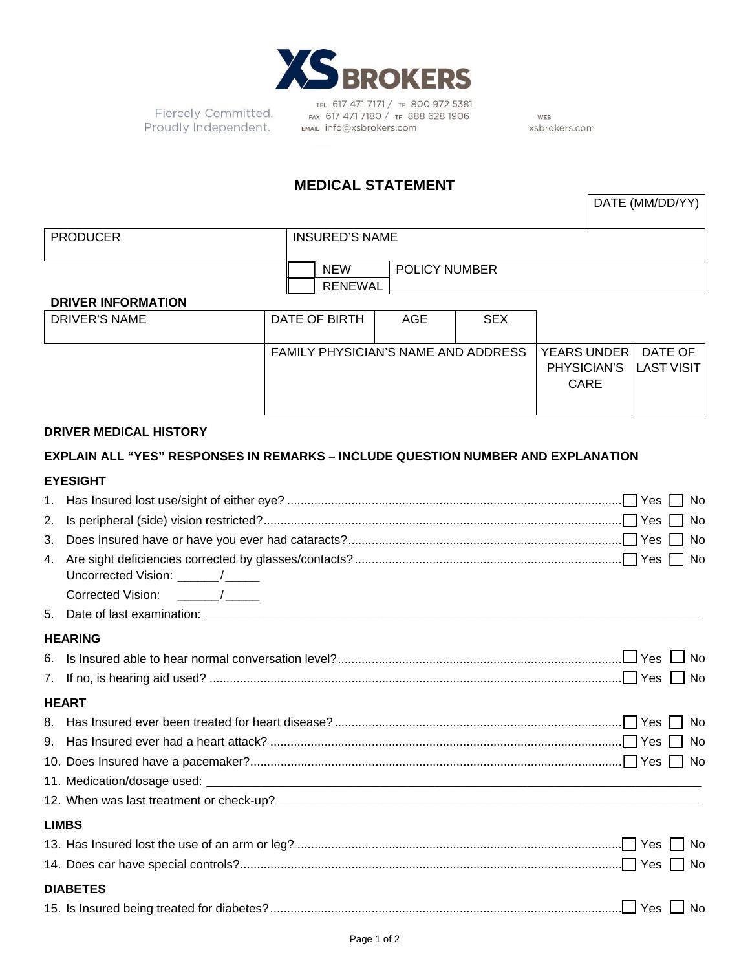

Fiercely Committed. Proudly Independent.

TEL 617 471 7171 / TF 800 972 5381<br>FAX 617 471 7180 / TF 888 628 1906 EMAIL info@xsbrokers.com

WEB xsbrokers.com

# **MEDICAL STATEMENT**

| DATE (MM/DD/YY) |  |
|-----------------|--|
|                 |  |

| <b>PRODUCER</b>           | <b>INSURED'S NAME</b> |                      |  |
|---------------------------|-----------------------|----------------------|--|
|                           | <b>NEW</b>            | <b>POLICY NUMBER</b> |  |
|                           | RENEWAL               |                      |  |
| <b>BBU/FBULFABLIATION</b> |                       |                      |  |

#### **DRIVER INFORMATION**

| DRIVER'S NAME | DATE OF BIRTH                       | AGE | <b>SEX</b> |                                                         |  |
|---------------|-------------------------------------|-----|------------|---------------------------------------------------------|--|
|               | FAMILY PHYSICIAN'S NAME AND ADDRESS |     |            | YEARS UNDER DATE OF<br>PHYSICIAN'S   LAST VISIT<br>CARE |  |

#### **DRIVER MEDICAL HISTORY**

## **EXPLAIN ALL "YES" RESPONSES IN REMARKS – INCLUDE QUESTION NUMBER AND EXPLANATION**

## **EYESIGHT**

| Uncorrected Vision: ______/_____ |                                                                   |  |
|----------------------------------|-------------------------------------------------------------------|--|
| Corrected Vision: ______/_____   |                                                                   |  |
|                                  |                                                                   |  |
|                                  |                                                                   |  |
|                                  |                                                                   |  |
|                                  |                                                                   |  |
|                                  |                                                                   |  |
|                                  |                                                                   |  |
|                                  |                                                                   |  |
|                                  |                                                                   |  |
|                                  |                                                                   |  |
|                                  |                                                                   |  |
|                                  |                                                                   |  |
|                                  |                                                                   |  |
|                                  |                                                                   |  |
|                                  |                                                                   |  |
|                                  |                                                                   |  |
|                                  | <b>HEARING</b><br><b>HEART</b><br><b>LIMBS</b><br><b>DIABETES</b> |  |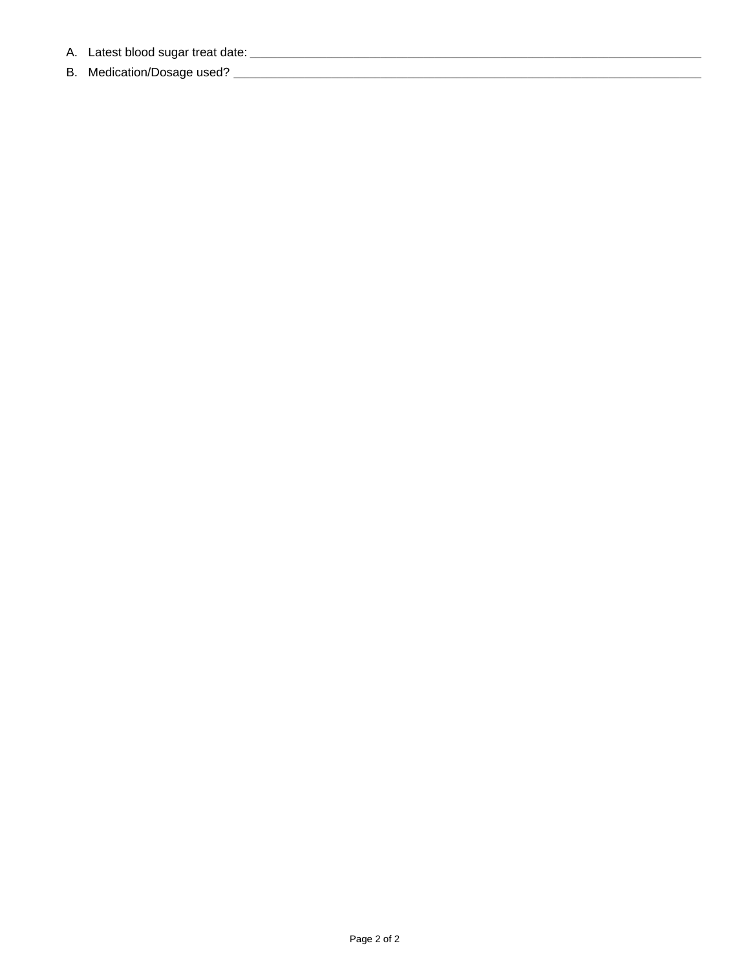- 
-